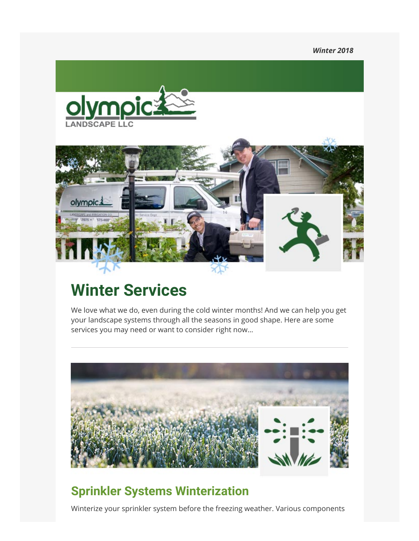*Winter 2018*





# **Winter Services**

We love what we do, even during the cold winter months! And we can help you get your landscape systems through all the seasons in good shape. Here are some services you may need or want to consider right now…



# **Sprinkler Systems Winterization**

Winterize your sprinkler system before the freezing weather. Various components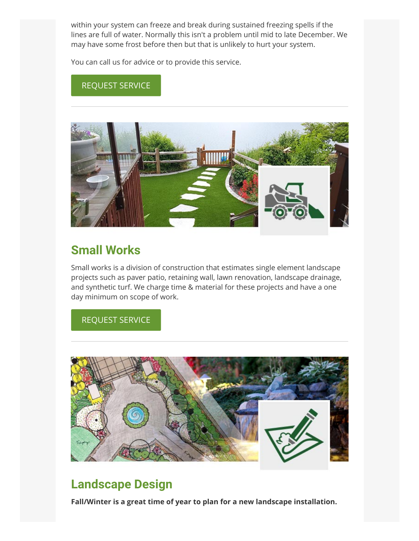within your system can freeze and break during sustained freezing spells if the lines are full of water. Normally this isn't a problem until mid to late December. We may have some frost before then but that is unlikely to hurt your system.

You can call us for advice or to provide this service.

#### REQUEST SERVICE



## **Small Works**

Small works is a division of construction that estimates single element landscape projects such as paver patio, retaining wall, lawn renovation, landscape drainage, and synthetic turf. We charge time & material for these projects and have a one day minimum on scope of work.

#### REQUEST SERVICE



### **Landscape Design**

**Fall/Winter is a great time of year to plan for a new landscape installation.**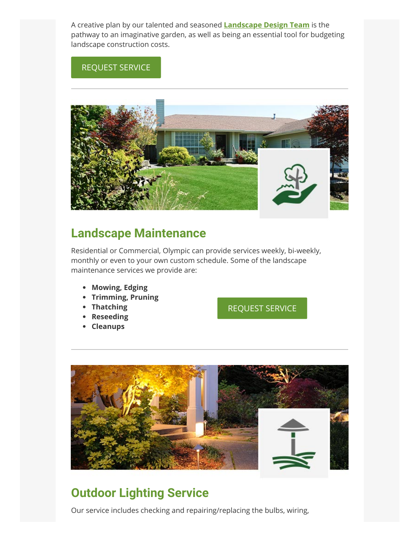A creative plan by our talented and seasoned **Landscape Design Team** is the pathway to an imaginative garden, as well as being an essential tool for budgeting landscape construction costs.

#### REQUEST SERVICE



## **Landscape Maintenance**

Residential or Commercial, Olympic can provide services weekly, bi-weekly, monthly or even to your own custom schedule. Some of the landscape maintenance services we provide are:

- **Mowing, Edging**
- **Trimming, Pruning**
- **•** Thatching
- **Reseeding**
- **Cleanups**

REQUEST SERVICE



# **Outdoor Lighting Service**

Our service includes checking and repairing/replacing the bulbs, wiring,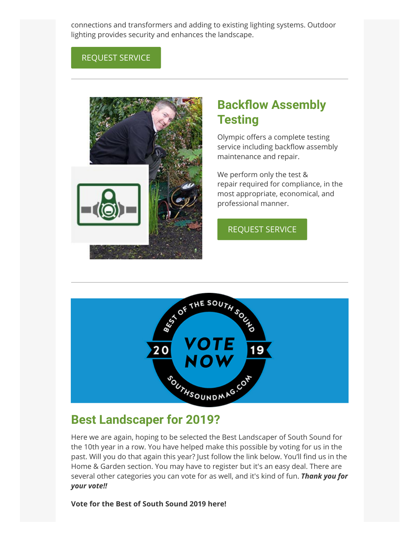connections and transformers and adding to existing lighting systems. Outdoor lighting provides security and enhances the landscape.

#### REQUEST SERVICE



# **Backflow Assembly Testing**

Olympic offers a complete testing service including backflow assembly maintenance and repair.

We perform only the test & repair required for compliance, in the most appropriate, economical, and professional manner.

#### REQUEST SERVICE



#### **Best Landscaper for 2019?**

Here we are again, hoping to be selected the Best Landscaper of South Sound for the 10th year in a row. You have helped make this possible by voting for us in the past. Will you do that again this year? Just follow the link below. You'll find us in the Home & Garden section. You may have to register but it's an easy deal. There are several other categories you can vote for as well, and it's kind of fun. *Thank you for your vote!!*

#### **Vote for the Best of South Sound 2019 here!**